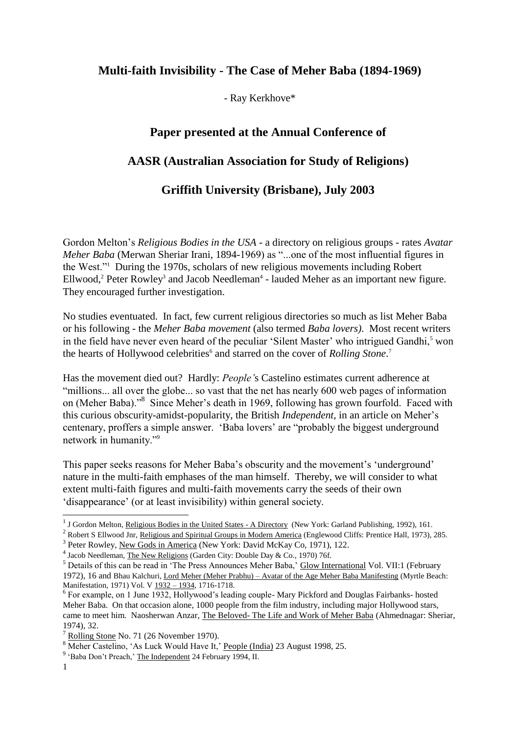## **Multi-faith Invisibility - The Case of Meher Baba (1894-1969)**

- Ray Kerkhove\*

# **Paper presented at the Annual Conference of AASR (Australian Association for Study of Religions)**

### **Griffith University (Brisbane), July 2003**

Gordon Melton's *Religious Bodies in the USA* - a directory on religious groups - rates *Avatar Meher Baba* (Merwan Sheriar Irani, 1894-1969) as "...one of the most influential figures in the West."<sup>1</sup> During the 1970s, scholars of new religious movements including Robert  $Ellwood, <sup>2</sup> Peter Rowley<sup>3</sup> and Jacob Needleman<sup>4</sup> - lauded Meher as an important new figure.$ They encouraged further investigation.

No studies eventuated. In fact, few current religious directories so much as list Meher Baba or his following - the *Meher Baba movement* (also termed *Baba lovers)*. Most recent writers in the field have never even heard of the peculiar 'Silent Master' who intrigued Gandhi,<sup>5</sup> won the hearts of Hollywood celebrities<sup>6</sup> and starred on the cover of *Rolling Stone*.<sup>7</sup>

Has the movement died out? Hardly: *People'*s Castelino estimates current adherence at "millions... all over the globe... so vast that the net has nearly 600 web pages of information on (Meher Baba)."<sup>8</sup> Since Meher's death in 1969, following has grown fourfold. Faced with this curious obscurity-amidst-popularity, the British *Independent*, in an article on Meher's centenary, proffers a simple answer. 'Baba lovers' are "probably the biggest underground network in humanity."<sup>9</sup>

This paper seeks reasons for Meher Baba's obscurity and the movement's 'underground' nature in the multi-faith emphases of the man himself. Thereby, we will consider to what extent multi-faith figures and multi-faith movements carry the seeds of their own 'disappearance' (or at least invisibility) within general society.

<sup>1&</sup>lt;br><sup>1</sup> J Gordon Melton, <u>Religious Bodies in the United States - A Directory</u> (New York: Garland Publishing, 1992), 161.

<sup>&</sup>lt;sup>2</sup> Robert S Ellwood Jnr, Religious and Spiritual Groups in Modern America (Englewood Cliffs: Prentice Hall, 1973), 285.

<sup>&</sup>lt;sup>3</sup> Peter Rowley, New Gods in America (New York: David McKay Co, 1971), 122.

<sup>&</sup>lt;sup>4</sup> Jacob Needleman, The New Religions (Garden City: Double Day & Co., 1970) 76f.

<sup>5</sup> Details of this can be read in 'The Press Announces Meher Baba,' Glow International Vol. VII:1 (February 1972), 16 and Bhau Kalchuri, Lord Meher (Meher Prabhu) – Avatar of the Age Meher Baba Manifesting (Myrtle Beach: Manifestation, 1971) Vol. V 1932 – 1934, 1716-1718.

<sup>&</sup>lt;sup>6</sup> For example, on 1 June 1932, Hollywood's leading couple- Mary Pickford and Douglas Fairbanks- hosted Meher Baba. On that occasion alone, 1000 people from the film industry, including major Hollywood stars, came to meet him. Naosherwan Anzar, The Beloved- The Life and Work of Meher Baba (Ahmednagar: Sheriar, 1974), 32.

<sup>7</sup> Rolling Stone No. 71 (26 November 1970).

 $8 \frac{\text{Roming bookle}}{\text{Meker Castelino}}$ , 'As Luck Would Have It,' <u>People (India)</u> 23 August 1998, 25.

<sup>&</sup>lt;sup>9</sup> 'Baba Don't Preach,' The Independent 24 February 1994, II.

<sup>1</sup>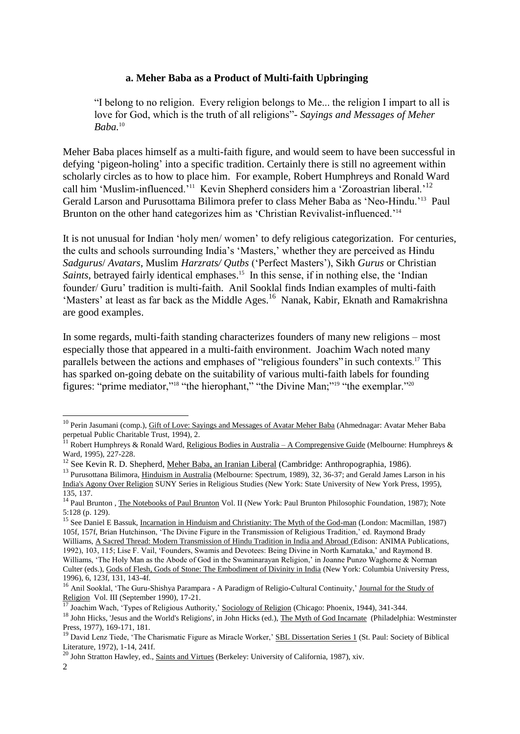#### **a. Meher Baba as a Product of Multi-faith Upbringing**

"I belong to no religion. Every religion belongs to Me... the religion I impart to all is love for God, which is the truth of all religions"- *Sayings and Messages of Meher Baba.*<sup>10</sup>

Meher Baba places himself as a multi-faith figure, and would seem to have been successful in defying 'pigeon-holing' into a specific tradition. Certainly there is still no agreement within scholarly circles as to how to place him. For example, Robert Humphreys and Ronald Ward call him 'Muslim-influenced.<sup>'11</sup> Kevin Shepherd considers him a 'Zoroastrian liberal.'<sup>12</sup> Gerald Larson and Purusottama Bilimora prefer to class Meher Baba as 'Neo-Hindu.'<sup>13</sup> Paul Brunton on the other hand categorizes him as 'Christian Revivalist-influenced.<sup>'14</sup>

It is not unusual for Indian 'holy men/ women' to defy religious categorization. For centuries, the cults and schools surrounding India's 'Masters,' whether they are perceived as Hindu *Sadgurus*/ *Avatars*, Muslim *Harzrats/ Qutbs* ('Perfect Masters'), Sikh *Gurus* or Christian Saints, betrayed fairly identical emphases.<sup>15</sup> In this sense, if in nothing else, the 'Indian founder/ Guru' tradition is multi-faith. Anil Sooklal finds Indian examples of multi-faith 'Masters' at least as far back as the Middle Ages.<sup>16</sup> Nanak, Kabir, Eknath and Ramakrishna are good examples.

In some regards, multi-faith standing characterizes founders of many new religions – most especially those that appeared in a multi-faith environment. Joachim Wach noted many parallels between the actions and emphases of "religious founders" in such contexts.<sup>17</sup> This has sparked on-going debate on the suitability of various multi-faith labels for founding figures: "prime mediator,"<sup>18</sup> "the hierophant," "the Divine Man;"<sup>19</sup> "the exemplar."<sup>20</sup>

<sup>&</sup>lt;sup>10</sup> Perin Jasumani (comp.), Gift of Love: Sayings and Messages of Avatar Meher Baba (Ahmednagar: Avatar Meher Baba perpetual Public Charitable Trust, 1994), 2.

<sup>&</sup>lt;sup>11</sup> Robert Humphreys & Ronald Ward, <u>Religious Bodies in Australia – A Compregensive Guide</u> (Melbourne: Humphreys & Ward, 1995), 227-228.

<sup>&</sup>lt;sup>12</sup> See Kevin R. D. Shepherd, <u>Meher Baba, an Iranian Liberal</u> (Cambridge: Anthropographia, 1986).

<sup>&</sup>lt;sup>13</sup> Purusottana Bilimora, Hinduism in Australia (Melbourne: Spectrum, 1989), 32, 36-37; and Gerald James Larson in his India's Agony Over Religion SUNY Series in Religious Studies (New York: State University of New York Press, 1995), 135, 137.

<sup>&</sup>lt;sup>14</sup> Paul Brunton, *The Notebooks of Paul Brunton Vol. II (New York: Paul Brunton Philosophic Foundation, 1987)*; Note 5:128 (p. 129).

<sup>&</sup>lt;sup>15</sup> See Daniel E Bassuk, Incarnation in Hinduism and Christianity: The Myth of the God-man (London: Macmillan, 1987) 105f, 157f, Brian Hutchinson, 'The Divine Figure in the Transmission of Religious Tradition,' ed. Raymond Brady Williams, A Sacred Thread: Modern Transmission of Hindu Tradition in India and Abroad (Edison: ANIMA Publications, 1992), 103, 115; Lise F. Vail, 'Founders, Swamis and Devotees: Being Divine in North Karnataka,' and Raymond B. Williams, 'The Holy Man as the Abode of God in the Swaminarayan Religion,' in Joanne Punzo Waghorne & Norman Culter (eds.), Gods of Flesh, Gods of Stone: The Embodiment of Divinity in India (New York: Columbia University Press, 1996), 6, 123f, 131, 143-4f.

<sup>&</sup>lt;sup>16</sup> Anil Sooklal, 'The Guru-Shishya Parampara - A Paradigm of Religio-Cultural Continuity,' Journal for the Study of Religion Vol. III (September 1990), 17-21.

<sup>&</sup>lt;sup>17</sup> Joachim Wach, 'Types of Religious Authority,' Sociology of Religion (Chicago: Phoenix, 1944), 341-344.

<sup>&</sup>lt;sup>18</sup> John Hicks, 'Jesus and the World's Religions', in John Hicks (ed.), The Myth of God Incarnate (Philadelphia: Westminster Press, 1977), 169-171, 181.

 $19$  David Lenz Tiede, 'The Charismatic Figure as Miracle Worker,' SBL Dissertation Series 1 (St. Paul: Society of Biblical Literature, 1972), 1-14, 241f.

<sup>&</sup>lt;sup>20</sup> John Stratton Hawley, ed., **Saints and Virtues** (Berkeley: University of California, 1987), xiv.

<sup>2</sup>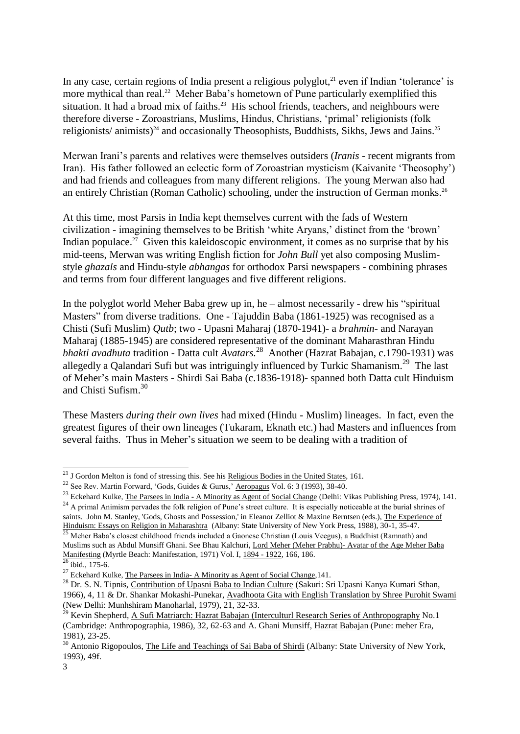In any case, certain regions of India present a religious polyglot, $^{21}$  even if Indian 'tolerance' is more mythical than real.<sup>22</sup> Meher Baba's hometown of Pune particularly exemplified this situation. It had a broad mix of faiths.<sup>23</sup> His school friends, teachers, and neighbours were therefore diverse - Zoroastrians, Muslims, Hindus, Christians, 'primal' religionists (folk religionists/ animists)<sup>24</sup> and occasionally Theosophists, Buddhists, Sikhs, Jews and Jains.<sup>25</sup>

Merwan Irani's parents and relatives were themselves outsiders (*Iranis -* recent migrants from Iran). His father followed an eclectic form of Zoroastrian mysticism (Kaivanite 'Theosophy') and had friends and colleagues from many different religions. The young Merwan also had an entirely Christian (Roman Catholic) schooling, under the instruction of German monks.<sup>26</sup>

At this time, most Parsis in India kept themselves current with the fads of Western civilization - imagining themselves to be British 'white Aryans,' distinct from the 'brown' Indian populace.<sup>27</sup> Given this kaleidoscopic environment, it comes as no surprise that by his mid-teens, Merwan was writing English fiction for *John Bull* yet also composing Muslimstyle *ghazals* and Hindu-style *abhangas* for orthodox Parsi newspapers - combining phrases and terms from four different languages and five different religions.

In the polyglot world Meher Baba grew up in, he – almost necessarily - drew his "spiritual Masters" from diverse traditions. One - Tajuddin Baba (1861-1925) was recognised as a Chisti (Sufi Muslim) *Qutb*; two - Upasni Maharaj (1870-1941)- a *brahmin*- and Narayan Maharaj (1885-1945) are considered representative of the dominant Maharasthran Hindu *bhakti avadhuta* tradition - Datta cult *Avatars.*<sup>28</sup> Another (Hazrat Babajan, c.1790-1931) was allegedly a Qalandari Sufi but was intriguingly influenced by Turkic Shamanism.<sup>29</sup> The last of Meher's main Masters - Shirdi Sai Baba (c.1836-1918)- spanned both Datta cult Hinduism and Chisti Sufism.<sup>30</sup>

These Masters *during their own lives* had mixed (Hindu - Muslim) lineages. In fact, even the greatest figures of their own lineages (Tukaram, Eknath etc.) had Masters and influences from several faiths. Thus in Meher's situation we seem to be dealing with a tradition of

<sup>&</sup>lt;sup>21</sup> J Gordon Melton is fond of stressing this. See his Religious Bodies in the United States, 161.

<sup>22</sup> See Rev. Martin Forward, 'Gods, Guides & Gurus,' Aeropagus Vol. 6: 3 (1993), 38-40.

<sup>&</sup>lt;sup>23</sup> Eckehard Kulke, The Parsees in India - A Minority as Agent of Social Change (Delhi: Vikas Publishing Press, 1974), 141.

<sup>&</sup>lt;sup>24</sup> A primal Animism pervades the folk religion of Pune's street culture. It is especially noticeable at the burial shrines of saints. John M. Stanley, 'Gods, Ghosts and Possession,' in Eleanor Zelliot & Maxine Berntsen (eds.), The Experience of Hinduism: Essays on Religion in Maharashtra (Albany: State University of New York Press, 1988), 30-1, 35-47.

<sup>&</sup>lt;sup>25</sup> Meher Baba's closest childhood friends included a Gaonese Christian (Louis Veegus), a Buddhist (Ramnath) and Muslims such as Abdul Munsiff Ghani. See Bhau Kalchuri, Lord Meher (Meher Prabhu)- Avatar of the Age Meher Baba Manifesting (Myrtle Beach: Manifestation, 1971) Vol. I, 1894 - 1922, 166, 186.  $26$  ibid., 175-6.

<sup>&</sup>lt;sup>27</sup> Eckehard Kulke, The Parsees in India- A Minority as Agent of Social Change, 141.

<sup>&</sup>lt;sup>28</sup> Dr. S. N. Tipnis, Contribution of Upasni Baba to Indian Culture (Sakuri: Sri Upasni Kanya Kumari Sthan, 1966), 4, 11 & Dr. Shankar Mokashi-Punekar, Avadhoota Gita with English Translation by Shree Purohit Swami (New Delhi: Munhshiram Manoharlal, 1979), 21, 32-33.

<sup>&</sup>lt;sup>29</sup> Kevin Shepherd, <u>A Sufi Matriarch: Hazrat Babajan (Interculturl Research Series of Anthropography</u> No.1 (Cambridge: Anthropographia, 1986), 32, 62-63 and A. Ghani Munsiff, Hazrat Babajan (Pune: meher Era, 1981), 23-25.

 $30$  Antonio Rigopoulos, The Life and Teachings of Sai Baba of Shirdi (Albany: State University of New York, 1993), 49f.

<sup>3</sup>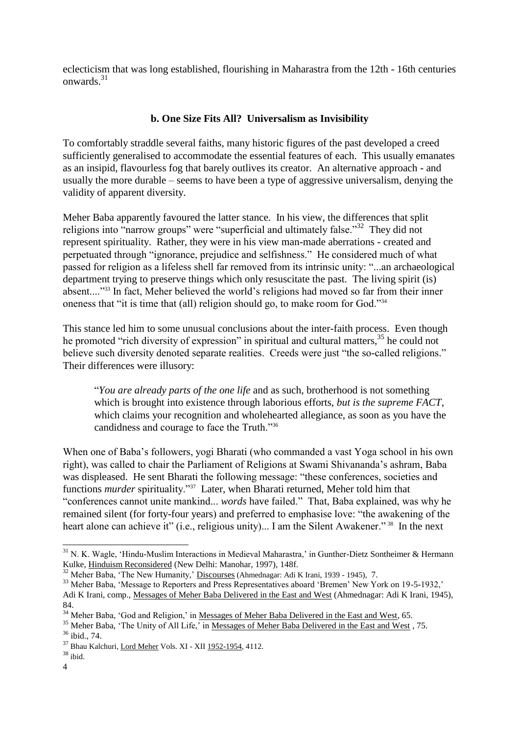eclecticism that was long established, flourishing in Maharastra from the 12th - 16th centuries onwards.<sup>31</sup>

#### **b. One Size Fits All? Universalism as Invisibility**

To comfortably straddle several faiths, many historic figures of the past developed a creed sufficiently generalised to accommodate the essential features of each. This usually emanates as an insipid, flavourless fog that barely outlives its creator. An alternative approach - and usually the more durable – seems to have been a type of aggressive universalism, denying the validity of apparent diversity.

Meher Baba apparently favoured the latter stance. In his view, the differences that split religions into "narrow groups" were "superficial and ultimately false."<sup>32</sup> They did not represent spirituality. Rather, they were in his view man-made aberrations - created and perpetuated through "ignorance, prejudice and selfishness." He considered much of what passed for religion as a lifeless shell far removed from its intrinsic unity: "...an archaeological department trying to preserve things which only resuscitate the past. The living spirit (is) absent...."<sup>33</sup> In fact, Meher believed the world's religions had moved so far from their inner oneness that "it is time that (all) religion should go, to make room for God."<sup>34</sup>

This stance led him to some unusual conclusions about the inter-faith process. Even though he promoted "rich diversity of expression" in spiritual and cultural matters,  $35$  he could not believe such diversity denoted separate realities. Creeds were just "the so-called religions." Their differences were illusory:

"*You are already parts of the one life* and as such, brotherhood is not something which is brought into existence through laborious efforts, *but is the supreme FACT*, which claims your recognition and wholehearted allegiance, as soon as you have the candidness and courage to face the Truth."<sup>36</sup>

When one of Baba's followers, yogi Bharati (who commanded a vast Yoga school in his own right), was called to chair the Parliament of Religions at Swami Shivananda's ashram, Baba was displeased. He sent Bharati the following message: "these conferences, societies and functions *murder* spirituality."<sup>37</sup> Later, when Bharati returned, Meher told him that "conferences cannot unite mankind... *words* have failed." That, Baba explained, was why he remained silent (for forty-four years) and preferred to emphasise love: "the awakening of the heart alone can achieve it" (i.e., religious unity)... I am the Silent Awakener."<sup>38</sup> In the next

 $31$  N. K. Wagle, 'Hindu-Muslim Interactions in Medieval Maharastra,' in Gunther-Dietz Sontheimer & Hermann Kulke, Hinduism Reconsidered (New Delhi: Manohar, 1997), 148f.

<sup>32</sup> Meher Baba, 'The New Humanity,' Discourses (Ahmednagar: Adi K Irani, 1939 - 1945), 7.

<sup>&</sup>lt;sup>33</sup> Meher Baba, 'Message to Reporters and Press Representatives aboard 'Bremen' New York on 19-5-1932,' Adi K Irani, comp., Messages of Meher Baba Delivered in the East and West (Ahmednagar: Adi K Irani, 1945), 84.

<sup>&</sup>lt;sup>34</sup> Meher Baba, 'God and Religion,' in Messages of Meher Baba Delivered in the East and West, 65.

<sup>&</sup>lt;sup>35</sup> Meher Baba, 'The Unity of All Life,' in Messages of Meher Baba Delivered in the East and West, 75. <sup>36</sup> ibid., 74.

<sup>37</sup> Bhau Kalchuri, Lord Meher Vols. XI - XII 1952-1954, 4112.

 $38$  ibid.

<sup>4</sup>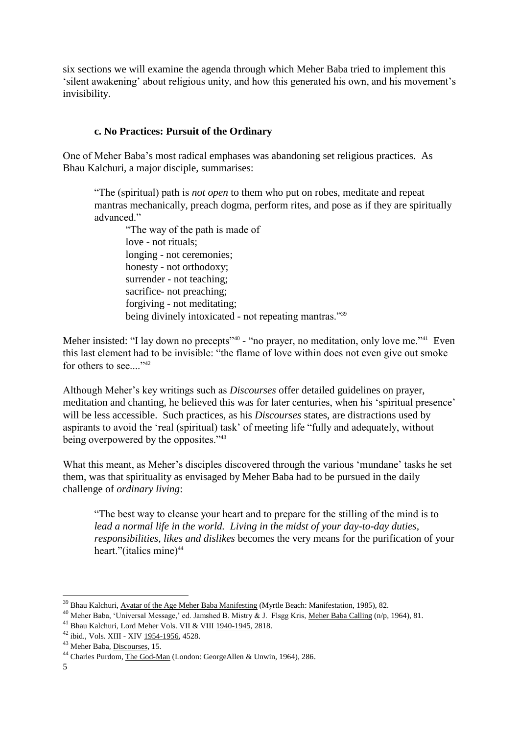six sections we will examine the agenda through which Meher Baba tried to implement this 'silent awakening' about religious unity, and how this generated his own, and his movement's invisibility.

#### **c. No Practices: Pursuit of the Ordinary**

One of Meher Baba's most radical emphases was abandoning set religious practices. As Bhau Kalchuri, a major disciple, summarises:

"The (spiritual) path is *not open* to them who put on robes, meditate and repeat mantras mechanically, preach dogma, perform rites, and pose as if they are spiritually advanced"

"The way of the path is made of love - not rituals; longing - not ceremonies; honesty - not orthodoxy; surrender - not teaching; sacrifice- not preaching; forgiving - not meditating; being divinely intoxicated - not repeating mantras."<sup>39</sup>

Meher insisted: "I lay down no precepts"<sup>40</sup> - "no prayer, no meditation, only love me."<sup>41</sup> Even this last element had to be invisible: "the flame of love within does not even give out smoke for others to see...."<sup>42</sup>

Although Meher's key writings such as *Discourses* offer detailed guidelines on prayer, meditation and chanting, he believed this was for later centuries, when his 'spiritual presence' will be less accessible. Such practices, as his *Discourses* states, are distractions used by aspirants to avoid the 'real (spiritual) task' of meeting life "fully and adequately, without being overpowered by the opposites."<sup>43</sup>

What this meant, as Meher's disciples discovered through the various 'mundane' tasks he set them, was that spirituality as envisaged by Meher Baba had to be pursued in the daily challenge of *ordinary living*:

"The best way to cleanse your heart and to prepare for the stilling of the mind is to *lead a normal life in the world. Living in the midst of your day-to-day duties, responsibilities, likes and dislikes* becomes the very means for the purification of your heart."(italics mine) $44$ 

<sup>&</sup>lt;sup>39</sup> Bhau Kalchuri, Avatar of the Age Meher Baba Manifesting (Myrtle Beach: Manifestation, 1985), 82.

<sup>40</sup> Meher Baba, 'Universal Message,' ed. Jamshed B. Mistry & J. Flsgg Kris, Meher Baba Calling (n/p, 1964), 81.

<sup>41</sup> Bhau Kalchuri, Lord Meher Vols. VII & VIII 1940-1945, 2818.

<sup>42</sup> ibid., Vols. XIII - XIV 1954-1956, 4528.

<sup>43</sup> Meher Baba, Discourses, 15.

<sup>44</sup> Charles Purdom, The God-Man (London: GeorgeAllen & Unwin, 1964), 286.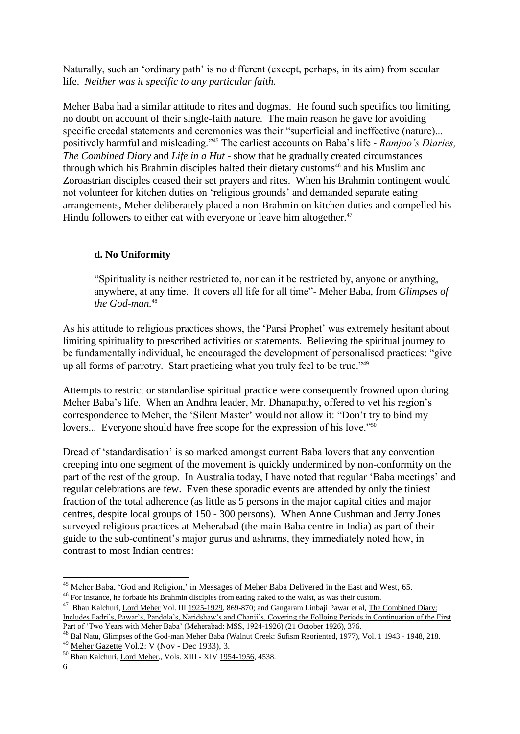Naturally, such an 'ordinary path' is no different (except, perhaps, in its aim) from secular life. *Neither was it specific to any particular faith.*

Meher Baba had a similar attitude to rites and dogmas. He found such specifics too limiting, no doubt on account of their single-faith nature. The main reason he gave for avoiding specific creedal statements and ceremonies was their "superficial and ineffective (nature)... positively harmful and misleading."<sup>45</sup> The earliest accounts on Baba's life - *Ramjoo's Diaries, The Combined Diary* and *Life in a Hut -* show that he gradually created circumstances through which his Brahmin disciples halted their dietary customs<sup>46</sup> and his Muslim and Zoroastrian disciples ceased their set prayers and rites. When his Brahmin contingent would not volunteer for kitchen duties on 'religious grounds' and demanded separate eating arrangements, Meher deliberately placed a non-Brahmin on kitchen duties and compelled his Hindu followers to either eat with everyone or leave him altogether.<sup>47</sup>

#### **d. No Uniformity**

"Spirituality is neither restricted to, nor can it be restricted by, anyone or anything, anywhere, at any time. It covers all life for all time"- Meher Baba, from *Glimpses of the God-man.*<sup>48</sup>

As his attitude to religious practices shows, the 'Parsi Prophet' was extremely hesitant about limiting spirituality to prescribed activities or statements. Believing the spiritual journey to be fundamentally individual, he encouraged the development of personalised practices: "give up all forms of parrotry. Start practicing what you truly feel to be true."<sup>49</sup>

Attempts to restrict or standardise spiritual practice were consequently frowned upon during Meher Baba's life. When an Andhra leader, Mr. Dhanapathy, offered to vet his region's correspondence to Meher, the 'Silent Master' would not allow it: "Don't try to bind my lovers... Everyone should have free scope for the expression of his love."<sup>50</sup>

Dread of 'standardisation' is so marked amongst current Baba lovers that any convention creeping into one segment of the movement is quickly undermined by non-conformity on the part of the rest of the group. In Australia today, I have noted that regular 'Baba meetings' and regular celebrations are few. Even these sporadic events are attended by only the tiniest fraction of the total adherence (as little as 5 persons in the major capital cities and major centres, despite local groups of 150 - 300 persons). When Anne Cushman and Jerry Jones surveyed religious practices at Meherabad (the main Baba centre in India) as part of their guide to the sub-continent's major gurus and ashrams, they immediately noted how, in contrast to most Indian centres:

1

<sup>&</sup>lt;sup>45</sup> Meher Baba, 'God and Religion,' in Messages of Meher Baba Delivered in the East and West, 65.

<sup>46</sup> For instance, he forbade his Brahmin disciples from eating naked to the waist, as was their custom.

<sup>&</sup>lt;sup>47</sup> Bhau Kalchuri, Lord Meher Vol. III 1925-1929, 869-870; and Gangaram Linbaji Pawar et al, The Combined Diary:

Includes Padri's, Pawar's, Pandola's, Naridshaw's and Chanji's, Covering the Folloing Periods in Continuation of the First Part of 'Two Years with Meher Baba' (Meherabad: MSS, 1924-1926) (21 October 1926), 376.

<sup>&</sup>lt;sup>48</sup> Bal Natu, Glimpses of the God-man Meher Baba (Walnut Creek: Sufism Reoriented, 1977), Vol. 1 1943 - 1948, 218. <sup>49</sup> Meher Gazette Vol.2: V (Nov - Dec 1933), 3.

<sup>50</sup> Bhau Kalchuri, Lord Meher., Vols. XIII - XIV 1954-1956, 4538.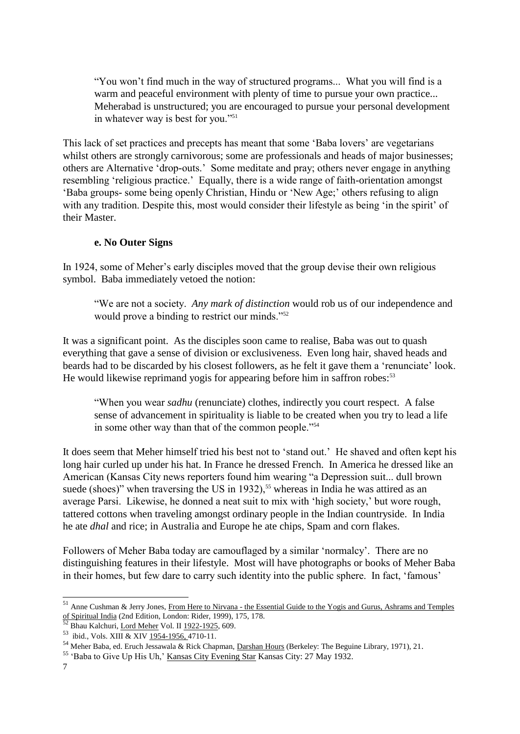"You won't find much in the way of structured programs... What you will find is a warm and peaceful environment with plenty of time to pursue your own practice... Meherabad is unstructured; you are encouraged to pursue your personal development in whatever way is best for you."<sup>51</sup>

This lack of set practices and precepts has meant that some 'Baba lovers' are vegetarians whilst others are strongly carnivorous; some are professionals and heads of major businesses; others are Alternative 'drop-outs.' Some meditate and pray; others never engage in anything resembling 'religious practice.' Equally, there is a wide range of faith-orientation amongst 'Baba groups- some being openly Christian, Hindu or 'New Age;' others refusing to align with any tradition. Despite this, most would consider their lifestyle as being 'in the spirit' of their Master.

#### **e. No Outer Signs**

In 1924, some of Meher's early disciples moved that the group devise their own religious symbol. Baba immediately vetoed the notion:

"We are not a society. *Any mark of distinction* would rob us of our independence and would prove a binding to restrict our minds."<sup>52</sup>

It was a significant point. As the disciples soon came to realise, Baba was out to quash everything that gave a sense of division or exclusiveness. Even long hair, shaved heads and beards had to be discarded by his closest followers, as he felt it gave them a 'renunciate' look. He would likewise reprimand yogis for appearing before him in saffron robes:<sup>53</sup>

"When you wear *sadhu* (renunciate) clothes, indirectly you court respect. A false sense of advancement in spirituality is liable to be created when you try to lead a life in some other way than that of the common people."<sup>54</sup>

It does seem that Meher himself tried his best not to 'stand out.' He shaved and often kept his long hair curled up under his hat. In France he dressed French. In America he dressed like an American (Kansas City news reporters found him wearing "a Depression suit... dull brown suede (shoes)" when traversing the US in 1932),<sup>55</sup> whereas in India he was attired as an average Parsi. Likewise, he donned a neat suit to mix with 'high society,' but wore rough, tattered cottons when traveling amongst ordinary people in the Indian countryside. In India he ate *dhal* and rice; in Australia and Europe he ate chips, Spam and corn flakes.

Followers of Meher Baba today are camouflaged by a similar 'normalcy'. There are no distinguishing features in their lifestyle. Most will have photographs or books of Meher Baba in their homes, but few dare to carry such identity into the public sphere. In fact, 'famous'

<sup>&</sup>lt;sup>51</sup> Anne Cushman & Jerry Jones, From Here to Nirvana - the Essential Guide to the Yogis and Gurus, Ashrams and Temples of Spiritual India (2nd Edition, London: Rider, 1999), 175, 178.

<sup>&</sup>lt;sup>52</sup> Bhau Kalchuri, Lord Meher Vol. II 1922-1925, 609.

<sup>&</sup>lt;sup>53</sup> ibid., Vols. XIII & XIV 1954-1956, 4710-11.

<sup>54</sup> Meher Baba, ed. Eruch Jessawala & Rick Chapman, Darshan Hours (Berkeley: The Beguine Library, 1971), 21.

<sup>&</sup>lt;sup>55</sup> 'Baba to Give Up His Uh,' Kansas City Evening Star Kansas City: 27 May 1932.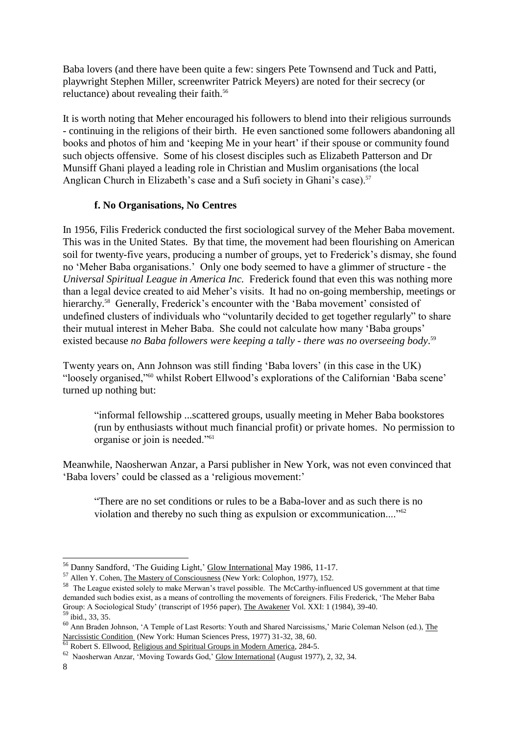Baba lovers (and there have been quite a few: singers Pete Townsend and Tuck and Patti, playwright Stephen Miller, screenwriter Patrick Meyers) are noted for their secrecy (or reluctance) about revealing their faith.<sup>56</sup>

It is worth noting that Meher encouraged his followers to blend into their religious surrounds - continuing in the religions of their birth. He even sanctioned some followers abandoning all books and photos of him and 'keeping Me in your heart' if their spouse or community found such objects offensive. Some of his closest disciples such as Elizabeth Patterson and Dr Munsiff Ghani played a leading role in Christian and Muslim organisations (the local Anglican Church in Elizabeth's case and a Sufi society in Ghani's case).<sup>57</sup>

#### **f. No Organisations, No Centres**

In 1956, Filis Frederick conducted the first sociological survey of the Meher Baba movement. This was in the United States. By that time, the movement had been flourishing on American soil for twenty-five years, producing a number of groups, yet to Frederick's dismay, she found no 'Meher Baba organisations.' Only one body seemed to have a glimmer of structure - the *Universal Spiritual League in America Inc.* Frederick found that even this was nothing more than a legal device created to aid Meher's visits. It had no on-going membership, meetings or hierarchy.<sup>58</sup> Generally, Frederick's encounter with the 'Baba movement' consisted of undefined clusters of individuals who "voluntarily decided to get together regularly" to share their mutual interest in Meher Baba. She could not calculate how many 'Baba groups' existed because *no Baba followers were keeping a tally - there was no overseeing body*. 59

Twenty years on, Ann Johnson was still finding 'Baba lovers' (in this case in the UK) "loosely organised,"<sup>60</sup> whilst Robert Ellwood's explorations of the Californian 'Baba scene' turned up nothing but:

"informal fellowship ...scattered groups, usually meeting in Meher Baba bookstores (run by enthusiasts without much financial profit) or private homes. No permission to organise or join is needed."<sup>61</sup>

Meanwhile, Naosherwan Anzar, a Parsi publisher in New York, was not even convinced that 'Baba lovers' could be classed as a 'religious movement:'

"There are no set conditions or rules to be a Baba-lover and as such there is no violation and thereby no such thing as expulsion or excommunication...."<sup>62</sup>

<sup>&</sup>lt;sup>56</sup> Danny Sandford, 'The Guiding Light,' Glow International May 1986, 11-17.

<sup>&</sup>lt;sup>57</sup> Allen Y. Cohen, The Mastery of Consciousness (New York: Colophon, 1977), 152.

<sup>58</sup> The League existed solely to make Merwan's travel possible. The McCarthy-influenced US government at that time demanded such bodies exist, as a means of controlling the movements of foreigners. Filis Frederick, 'The Meher Baba Group: A Sociological Study' (transcript of 1956 paper), The Awakener Vol. XXI: 1 (1984), 39-40. <sup>59</sup> ibid., 33, 35.

<sup>60</sup> Ann Braden Johnson, 'A Temple of Last Resorts: Youth and Shared Narcissisms,' Marie Coleman Nelson (ed.), The Narcissistic Condition (New York: Human Sciences Press, 1977) 31-32, 38, 60.

<sup>&</sup>lt;sup>61</sup> Robert S. Ellwood, Religious and Spiritual Groups in Modern America, 284-5.

<sup>&</sup>lt;sup>62</sup> Naosherwan Anzar, 'Moving Towards God,' Glow International (August 1977), 2, 32, 34.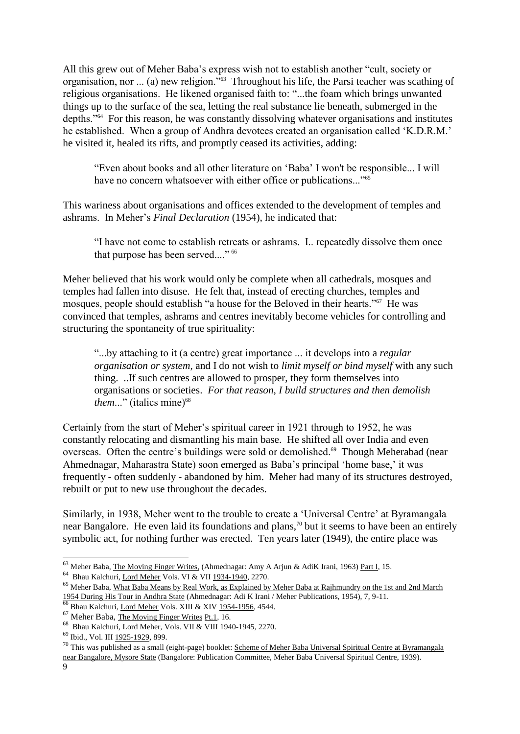All this grew out of Meher Baba's express wish not to establish another "cult, society or organisation, nor ... (a) new religion."<sup>63</sup> Throughout his life, the Parsi teacher was scathing of religious organisations. He likened organised faith to: "...the foam which brings unwanted things up to the surface of the sea, letting the real substance lie beneath, submerged in the depths."<sup>64</sup> For this reason, he was constantly dissolving whatever organisations and institutes he established. When a group of Andhra devotees created an organisation called 'K.D.R.M.' he visited it, healed its rifts, and promptly ceased its activities, adding:

"Even about books and all other literature on 'Baba' I won't be responsible... I will have no concern whatsoever with either office or publications..."<sup>65</sup>

This wariness about organisations and offices extended to the development of temples and ashrams. In Meher's *Final Declaration* (1954), he indicated that:

"I have not come to establish retreats or ashrams. I.. repeatedly dissolve them once that purpose has been served...." 66

Meher believed that his work would only be complete when all cathedrals, mosques and temples had fallen into disuse. He felt that, instead of erecting churches, temples and mosques, people should establish "a house for the Beloved in their hearts."<sup>67</sup> He was convinced that temples, ashrams and centres inevitably become vehicles for controlling and structuring the spontaneity of true spirituality:

"...by attaching to it (a centre) great importance ... it develops into a *regular organisation or system*, and I do not wish to *limit myself or bind myself* with any such thing. ..If such centres are allowed to prosper, they form themselves into organisations or societies. *For that reason, I build structures and then demolish them...*" (italics mine)<sup>68</sup>

Certainly from the start of Meher's spiritual career in 1921 through to 1952, he was constantly relocating and dismantling his main base. He shifted all over India and even overseas. Often the centre's buildings were sold or demolished.<sup>69</sup> Though Meherabad (near Ahmednagar, Maharastra State) soon emerged as Baba's principal 'home base,' it was frequently - often suddenly - abandoned by him. Meher had many of its structures destroyed, rebuilt or put to new use throughout the decades.

Similarly, in 1938, Meher went to the trouble to create a 'Universal Centre' at Byramangala near Bangalore. He even laid its foundations and plans,<sup>70</sup> but it seems to have been an entirely symbolic act, for nothing further was erected. Ten years later (1949), the entire place was

<sup>64</sup> Bhau Kalchuri, Lord Meher Vols. VI & VII 1934-1940, 2270.

<sup>&</sup>lt;sup>63</sup> Meher Baba, *The Moving Finger Writes*, (Ahmednagar: Amy A Arjun & AdiK Irani, 1963) Part I, 15.

<sup>&</sup>lt;sup>65</sup> Meher Baba, What Baba Means by Real Work, as Explained by Meher Baba at Rajhmundry on the 1st and 2nd March 1954 During His Tour in Andhra State (Ahmednagar: Adi K Irani / Meher Publications, 1954), 7, 9-11.

<sup>&</sup>lt;sup>66</sup> Bhau Kalchuri, Lord Meher Vols. XIII & XIV 1954-1956, 4544.

 $67$  Meher Baba, The Moving Finger Writes Pt.1, 16.

<sup>&</sup>lt;sup>68</sup> Bhau Kalchuri, Lord Meher, Vols. VII & VIII 1940-1945, 2270.

<sup>69</sup> Ibid., Vol. III 1925-1929, 899.

<sup>&</sup>lt;sup>70</sup> This was published as a small (eight-page) booklet: Scheme of Meher Baba Universal Spiritual Centre at Byramangala near Bangalore, Mysore State (Bangalore: Publication Committee, Meher Baba Universal Spiritual Centre, 1939).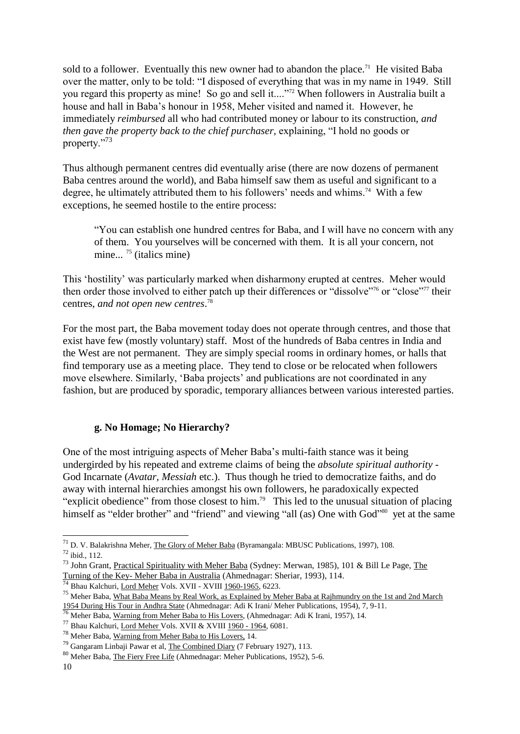sold to a follower. Eventually this new owner had to abandon the place.<sup>71</sup> He visited Baba over the matter, only to be told: "I disposed of everything that was in my name in 1949. Still you regard this property as mine! So go and sell it...."<sup>72</sup> When followers in Australia built a house and hall in Baba's honour in 1958, Meher visited and named it. However, he immediately *reimbursed* all who had contributed money or labour to its construction, *and then gave the property back to the chief purchaser, explaining, "I hold no goods or* property."<sup>73</sup>

Thus although permanent centres did eventually arise (there are now dozens of permanent Baba centres around the world), and Baba himself saw them as useful and significant to a degree, he ultimately attributed them to his followers' needs and whims.<sup>74</sup> With a few exceptions, he seemed hostile to the entire process:

"You can establish one hundred centres for Baba, and I will have no concern with any of them. You yourselves will be concerned with them. It is all your concern, not  $\frac{1}{2}$  mine...<sup>75</sup> (italics mine)

This 'hostility' was particularly marked when disharmony erupted at centres. Meher would then order those involved to either patch up their differences or "dissolve"<sup>76</sup> or "close"<sup>77</sup> their centres, *and not open new centres*. 78

For the most part, the Baba movement today does not operate through centres, and those that exist have few (mostly voluntary) staff. Most of the hundreds of Baba centres in India and the West are not permanent. They are simply special rooms in ordinary homes, or halls that find temporary use as a meeting place. They tend to close or be relocated when followers move elsewhere. Similarly, 'Baba projects' and publications are not coordinated in any fashion, but are produced by sporadic, temporary alliances between various interested parties.

#### **g. No Homage; No Hierarchy?**

One of the most intriguing aspects of Meher Baba's multi-faith stance was it being undergirded by his repeated and extreme claims of being the *absolute spiritual authority* - God Incarnate (*Avatar, Messiah* etc.). Thus though he tried to democratize faiths, and do away with internal hierarchies amongst his own followers, he paradoxically expected "explicit obedience" from those closest to him.<sup>79</sup> This led to the unusual situation of placing himself as "elder brother" and "friend" and viewing "all (as) One with God"<sup>80</sup> yet at the same

<sup>&</sup>lt;sup>71</sup> D. V. Balakrishna Meher, The Glory of Meher Baba (Byramangala: MBUSC Publications, 1997), 108.

<sup>72</sup> ibid., 112.

<sup>&</sup>lt;sup>73</sup> John Grant, Practical Spirituality with Meher Baba (Sydney: Merwan, 1985), 101 & Bill Le Page, The Turning of the Key- Meher Baba in Australia (Ahmednagar: Sheriar, 1993), 114.

<sup>&</sup>lt;sup>74</sup> Bhau Kalchuri, Lord Meher Vols. XVII - XVIII 1960-1965, 6223.

<sup>&</sup>lt;sup>75</sup> Meher Baba, <u>What Baba Means by Real Work, as Explained by Meher Baba at Rajhmundry on the 1st and 2nd March</u> 1954 During His Tour in Andhra State (Ahmednagar: Adi K Irani/ Meher Publications, 1954), 7, 9-11.

<sup>&</sup>lt;sup>76</sup> Meher Baba, Warning from Meher Baba to His Lovers, (Ahmednagar: Adi K Irani, 1957), 14.

<sup>77</sup> Bhau Kalchuri, Lord Meher Vols. XVII & XVIII 1960 - 1964, 6081.

<sup>78</sup> Meher Baba, Warning from Meher Baba to His Lovers, 14.

<sup>79</sup> Gangaram Linbaji Pawar et al, The Combined Diary (7 February 1927), 113.

<sup>80</sup> Meher Baba, The Fiery Free Life (Ahmednagar: Meher Publications, 1952), 5-6.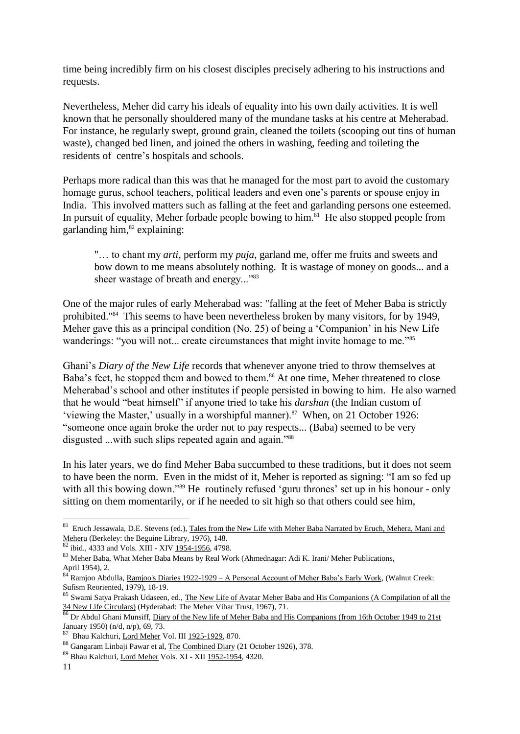time being incredibly firm on his closest disciples precisely adhering to his instructions and requests.

Nevertheless, Meher did carry his ideals of equality into his own daily activities. It is well known that he personally shouldered many of the mundane tasks at his centre at Meherabad. For instance, he regularly swept, ground grain, cleaned the toilets (scooping out tins of human waste), changed bed linen, and joined the others in washing, feeding and toileting the residents of centre's hospitals and schools.

Perhaps more radical than this was that he managed for the most part to avoid the customary homage gurus, school teachers, political leaders and even one's parents or spouse enjoy in India. This involved matters such as falling at the feet and garlanding persons one esteemed. In pursuit of equality, Meher forbade people bowing to him.<sup>81</sup> He also stopped people from garlanding him, <sup>82</sup> explaining:

"… to chant my *arti*, perform my *puja*, garland me, offer me fruits and sweets and bow down to me means absolutely nothing. It is wastage of money on goods... and a sheer wastage of breath and energy..."<sup>83</sup>

One of the major rules of early Meherabad was: "falling at the feet of Meher Baba is strictly prohibited."<sup>84</sup> This seems to have been nevertheless broken by many visitors, for by 1949, Meher gave this as a principal condition (No. 25) of being a 'Companion' in his New Life wanderings: "you will not... create circumstances that might invite homage to me."<sup>85</sup>

Ghani's *Diary of the New Life* records that whenever anyone tried to throw themselves at Baba's feet, he stopped them and bowed to them.<sup>86</sup> At one time, Meher threatened to close Meherabad's school and other institutes if people persisted in bowing to him. He also warned that he would "beat himself" if anyone tried to take his *darshan* (the Indian custom of 'viewing the Master,' usually in a worshipful manner).<sup>87</sup> When, on 21 October 1926: "someone once again broke the order not to pay respects... (Baba) seemed to be very disgusted ...with such slips repeated again and again."<sup>88</sup>

In his later years, we do find Meher Baba succumbed to these traditions, but it does not seem to have been the norm. Even in the midst of it, Meher is reported as signing: "I am so fed up with all this bowing down."<sup>89</sup> He routinely refused 'guru thrones' set up in his honour - only sitting on them momentarily, or if he needed to sit high so that others could see him,

<sup>&</sup>lt;sup>81</sup> Eruch Jessawala, D.E. Stevens (ed.), Tales from the New Life with Meher Baba Narrated by Eruch, Mehera, Mani and Meheru (Berkeley: the Beguine Library, 1976), 148.

 $82$  ibid., 4333 and Vols. XIII - XIV 1954-1956, 4798.

<sup>83</sup> Meher Baba, What Meher Baba Means by Real Work (Ahmednagar: Adi K. Irani/ Meher Publications, April 1954), 2.

<sup>84&</sup>lt;sup>k</sup> Ramioo Abdulla, Ramjoo's Diaries 1922-1929 – A Personal Account of Meher Baba's Early Work, (Walnut Creek: Sufism Reoriented, 1979), 18-19.

<sup>85</sup> Swami Satya Prakash Udaseen, ed., The New Life of Avatar Meher Baba and His Companions (A Compilation of all the 34 New Life Circulars) (Hyderabad: The Meher Vihar Trust, 1967), 71.

<sup>86</sup> Dr Abdul Ghani Munsiff, Diary of the New life of Meher Baba and His Companions (from 16th October 1949 to 21st January 1950) (n/d, n/p), 69, 73.

<sup>87</sup> Bhau Kalchuri, Lord Meher Vol. III 1925-1929, 870.

<sup>88</sup> Gangaram Linbaji Pawar et al, The Combined Diary (21 October 1926), 378.

<sup>89</sup> Bhau Kalchuri, Lord Meher Vols. XI - XII 1952-1954, 4320.

<sup>11</sup>